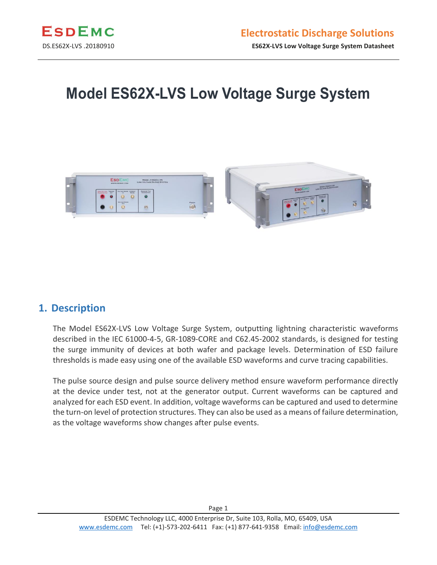

# **Model ES62X-LVS Low Voltage Surge System**



#### **1. Description**

The Model ES62X-LVS Low Voltage Surge System, outputting lightning characteristic waveforms described in the IEC 61000-4-5, GR-1089-CORE and C62.45-2002 standards, is designed for testing the surge immunity of devices at both wafer and package levels. Determination of ESD failure thresholds is made easy using one of the available ESD waveforms and curve tracing capabilities.

The pulse source design and pulse source delivery method ensure waveform performance directly at the device under test, not at the generator output. Current waveforms can be captured and analyzed for each ESD event. In addition, voltage waveforms can be captured and used to determine the turn-on level of protection structures. They can also be used as a means of failure determination, as the voltage waveforms show changes after pulse events.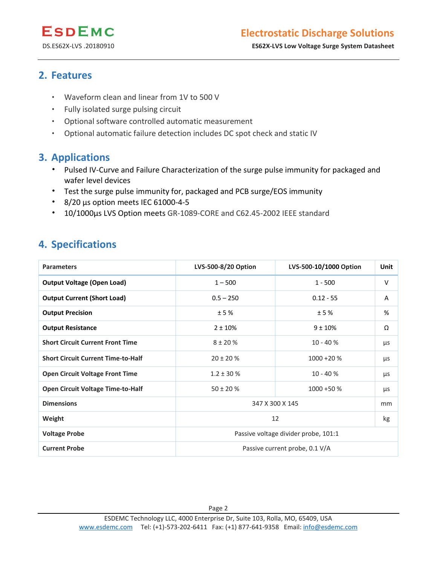DS.ES62X-LVS .20180910 **ES62X-LVS Low Voltage Surge System Datasheet**

#### **2. Features**

- Waveform clean and linear from 1V to 500 V
- Fully isolated surge pulsing circuit
- Optional software controlled automatic measurement
- Optional automatic failure detection includes DC spot check and static IV

#### **3. Applications**

- Pulsed IV-Curve and Failure Characterization of the surge pulse immunity for packaged and wafer level devices
- Test the surge pulse immunity for, packaged and PCB surge/EOS immunity
- 8/20 µs option meets IEC 61000-4-5
- 10/1000µs LVS Option meets GR-1089-CORE and C62.45-2002 IEEE standard

#### **4. Specifications**

| <b>Parameters</b>                         | LVS-500-8/20 Option                  | LVS-500-10/1000 Option         | <b>Unit</b> |
|-------------------------------------------|--------------------------------------|--------------------------------|-------------|
| <b>Output Voltage (Open Load)</b>         | $1 - 500$                            | $1 - 500$                      | $\vee$      |
| <b>Output Current (Short Load)</b>        | $0.5 - 250$                          | $0.12 - 55$                    | A           |
| <b>Output Precision</b>                   | ±5%                                  | ±5%                            | %           |
| <b>Output Resistance</b>                  | $2 + 10%$                            | $9 \pm 10\%$                   | Ω           |
| <b>Short Circuit Current Front Time</b>   | $8 + 20%$                            | $10 - 40%$                     | μs          |
| <b>Short Circuit Current Time-to-Half</b> | $20 \pm 20 \%$                       | $1000 + 20%$                   | μs          |
| <b>Open Circuit Voltage Front Time</b>    | $1.2 \pm 30 \%$                      | $10 - 40%$                     | μs          |
| <b>Open Circuit Voltage Time-to-Half</b>  | $50 \pm 20 \%$                       | $1000 + 50 %$                  | μs          |
| <b>Dimensions</b>                         | 347 X 300 X 145<br>mm                |                                |             |
| Weight                                    |                                      | 12                             | kg          |
| <b>Voltage Probe</b>                      | Passive voltage divider probe, 101:1 |                                |             |
| <b>Current Probe</b>                      |                                      | Passive current probe, 0.1 V/A |             |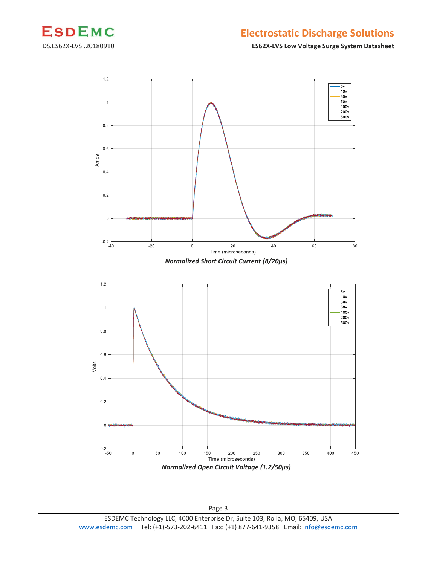

### **Electrostatic Discharge Solutions**

DS.ES62X-LVS .20180910 **ES62X-LVS Low Voltage Surge System Datasheet**



Page 3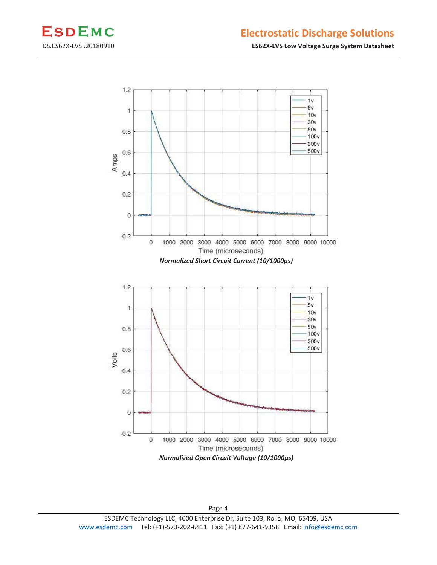

#### **Electrostatic Discharge Solutions**

DS.ES62X-LVS .20180910 **ES62X-LVS Low Voltage Surge System Datasheet**